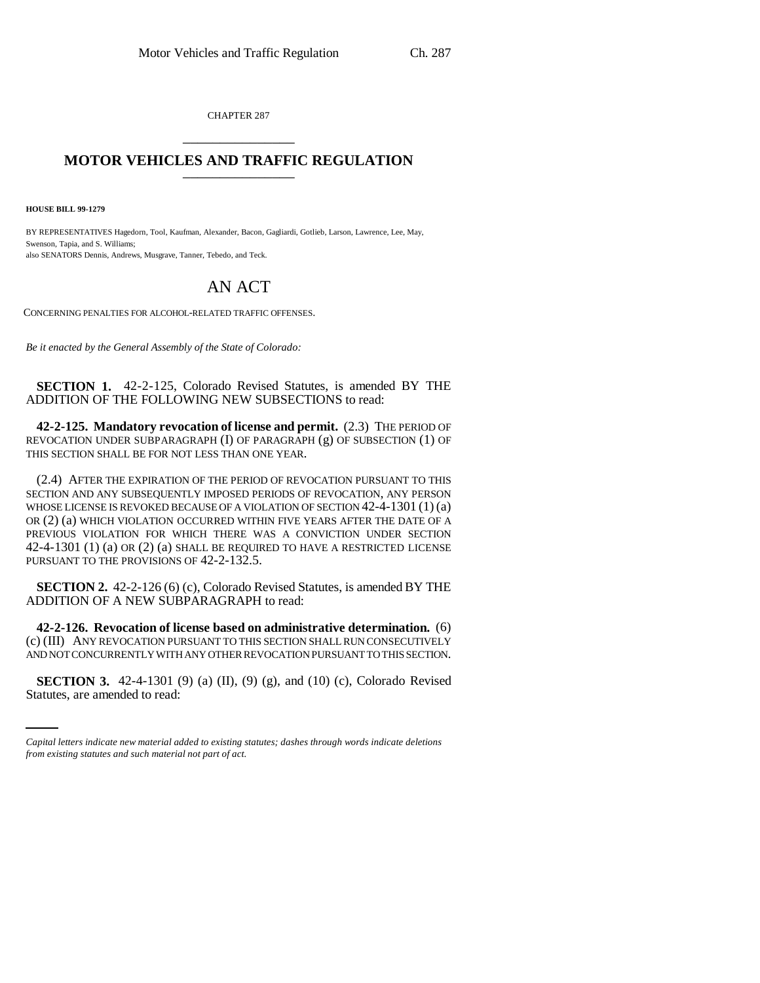CHAPTER 287 \_\_\_\_\_\_\_\_\_\_\_\_\_\_\_

## **MOTOR VEHICLES AND TRAFFIC REGULATION** \_\_\_\_\_\_\_\_\_\_\_\_\_\_\_

**HOUSE BILL 99-1279** 

BY REPRESENTATIVES Hagedorn, Tool, Kaufman, Alexander, Bacon, Gagliardi, Gotlieb, Larson, Lawrence, Lee, May, Swenson, Tapia, and S. Williams; also SENATORS Dennis, Andrews, Musgrave, Tanner, Tebedo, and Teck.

## AN ACT

CONCERNING PENALTIES FOR ALCOHOL-RELATED TRAFFIC OFFENSES.

*Be it enacted by the General Assembly of the State of Colorado:*

**SECTION 1.** 42-2-125, Colorado Revised Statutes, is amended BY THE ADDITION OF THE FOLLOWING NEW SUBSECTIONS to read:

**42-2-125. Mandatory revocation of license and permit.** (2.3) THE PERIOD OF REVOCATION UNDER SUBPARAGRAPH (I) OF PARAGRAPH (g) OF SUBSECTION (1) OF THIS SECTION SHALL BE FOR NOT LESS THAN ONE YEAR.

(2.4) AFTER THE EXPIRATION OF THE PERIOD OF REVOCATION PURSUANT TO THIS SECTION AND ANY SUBSEQUENTLY IMPOSED PERIODS OF REVOCATION, ANY PERSON WHOSE LICENSE IS REVOKED BECAUSE OF A VIOLATION OF SECTION 42-4-1301 (1) (a) OR (2) (a) WHICH VIOLATION OCCURRED WITHIN FIVE YEARS AFTER THE DATE OF A PREVIOUS VIOLATION FOR WHICH THERE WAS A CONVICTION UNDER SECTION 42-4-1301 (1) (a) OR (2) (a) SHALL BE REQUIRED TO HAVE A RESTRICTED LICENSE PURSUANT TO THE PROVISIONS OF 42-2-132.5.

**SECTION 2.** 42-2-126 (6) (c), Colorado Revised Statutes, is amended BY THE ADDITION OF A NEW SUBPARAGRAPH to read:

AND NOT CONCURRENTLY WITH ANY OTHER REVOCATION PURSUANT TO THIS SECTION. **42-2-126. Revocation of license based on administrative determination.** (6) (c) (III) ANY REVOCATION PURSUANT TO THIS SECTION SHALL RUN CONSECUTIVELY

**SECTION 3.** 42-4-1301 (9) (a) (II), (9) (g), and (10) (c), Colorado Revised Statutes, are amended to read:

*Capital letters indicate new material added to existing statutes; dashes through words indicate deletions from existing statutes and such material not part of act.*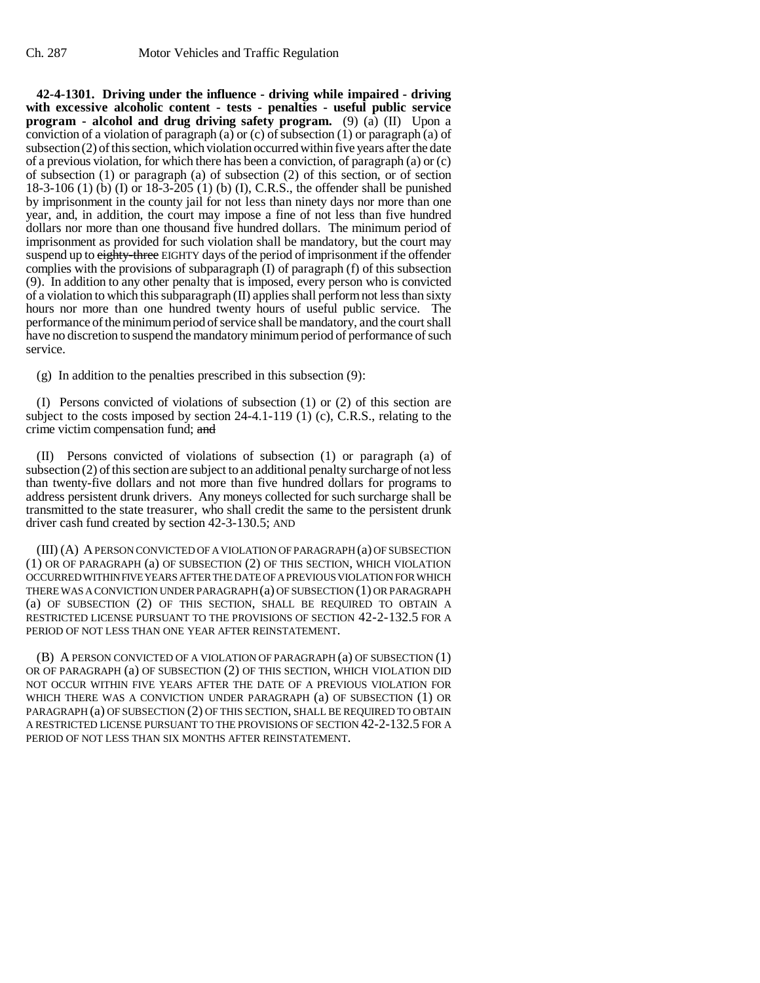**42-4-1301. Driving under the influence - driving while impaired - driving with excessive alcoholic content - tests - penalties - useful public service program - alcohol and drug driving safety program.** (9) (a) (II) Upon a conviction of a violation of paragraph (a) or (c) of subsection (1) or paragraph (a) of subsection (2) of this section, which violation occurred within five years after the date of a previous violation, for which there has been a conviction, of paragraph (a) or (c) of subsection (1) or paragraph (a) of subsection (2) of this section, or of section 18-3-106 (1) (b) (I) or 18-3-205 (1) (b) (I), C.R.S., the offender shall be punished by imprisonment in the county jail for not less than ninety days nor more than one year, and, in addition, the court may impose a fine of not less than five hundred dollars nor more than one thousand five hundred dollars. The minimum period of imprisonment as provided for such violation shall be mandatory, but the court may suspend up to eighty-three EIGHTY days of the period of imprisonment if the offender complies with the provisions of subparagraph (I) of paragraph (f) of this subsection (9). In addition to any other penalty that is imposed, every person who is convicted of a violation to which this subparagraph (II) applies shall perform not less than sixty hours nor more than one hundred twenty hours of useful public service. The performance of the minimum period of service shall be mandatory, and the court shall have no discretion to suspend the mandatory minimum period of performance of such service.

(g) In addition to the penalties prescribed in this subsection (9):

(I) Persons convicted of violations of subsection (1) or (2) of this section are subject to the costs imposed by section 24-4.1-119 (1) (c), C.R.S., relating to the crime victim compensation fund; and

(II) Persons convicted of violations of subsection (1) or paragraph (a) of subsection (2) of this section are subject to an additional penalty surcharge of not less than twenty-five dollars and not more than five hundred dollars for programs to address persistent drunk drivers. Any moneys collected for such surcharge shall be transmitted to the state treasurer, who shall credit the same to the persistent drunk driver cash fund created by section 42-3-130.5; AND

(III) (A) A PERSON CONVICTED OF A VIOLATION OF PARAGRAPH (a) OF SUBSECTION (1) OR OF PARAGRAPH (a) OF SUBSECTION (2) OF THIS SECTION, WHICH VIOLATION OCCURRED WITHIN FIVE YEARS AFTER THE DATE OF A PREVIOUS VIOLATION FOR WHICH THERE WAS A CONVICTION UNDER PARAGRAPH (a) OF SUBSECTION (1) OR PARAGRAPH (a) OF SUBSECTION (2) OF THIS SECTION, SHALL BE REQUIRED TO OBTAIN A RESTRICTED LICENSE PURSUANT TO THE PROVISIONS OF SECTION 42-2-132.5 FOR A PERIOD OF NOT LESS THAN ONE YEAR AFTER REINSTATEMENT.

(B) A PERSON CONVICTED OF A VIOLATION OF PARAGRAPH (a) OF SUBSECTION (1) OR OF PARAGRAPH (a) OF SUBSECTION (2) OF THIS SECTION, WHICH VIOLATION DID NOT OCCUR WITHIN FIVE YEARS AFTER THE DATE OF A PREVIOUS VIOLATION FOR WHICH THERE WAS A CONVICTION UNDER PARAGRAPH (a) OF SUBSECTION (1) OR PARAGRAPH (a) OF SUBSECTION (2) OF THIS SECTION, SHALL BE REQUIRED TO OBTAIN A RESTRICTED LICENSE PURSUANT TO THE PROVISIONS OF SECTION 42-2-132.5 FOR A PERIOD OF NOT LESS THAN SIX MONTHS AFTER REINSTATEMENT.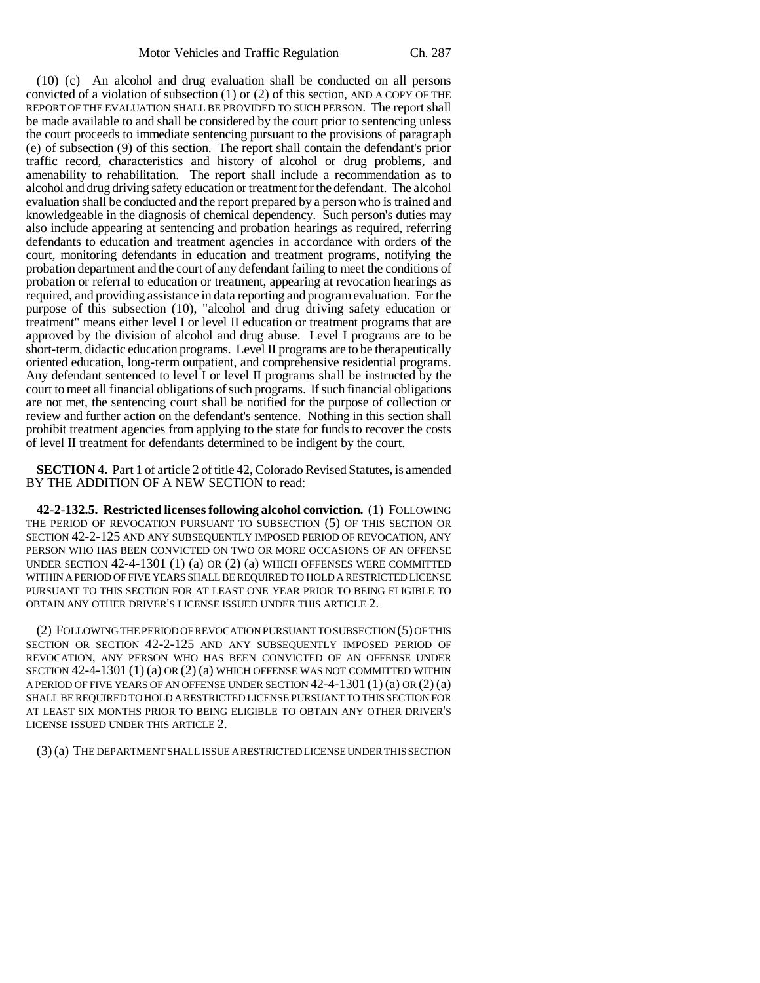(10) (c) An alcohol and drug evaluation shall be conducted on all persons convicted of a violation of subsection (1) or (2) of this section, AND A COPY OF THE REPORT OF THE EVALUATION SHALL BE PROVIDED TO SUCH PERSON. The report shall be made available to and shall be considered by the court prior to sentencing unless the court proceeds to immediate sentencing pursuant to the provisions of paragraph (e) of subsection (9) of this section. The report shall contain the defendant's prior traffic record, characteristics and history of alcohol or drug problems, and amenability to rehabilitation. The report shall include a recommendation as to alcohol and drug driving safety education or treatment for the defendant. The alcohol evaluation shall be conducted and the report prepared by a person who is trained and knowledgeable in the diagnosis of chemical dependency. Such person's duties may also include appearing at sentencing and probation hearings as required, referring defendants to education and treatment agencies in accordance with orders of the court, monitoring defendants in education and treatment programs, notifying the probation department and the court of any defendant failing to meet the conditions of probation or referral to education or treatment, appearing at revocation hearings as required, and providing assistance in data reporting and program evaluation. For the purpose of this subsection (10), "alcohol and drug driving safety education or treatment" means either level I or level II education or treatment programs that are approved by the division of alcohol and drug abuse. Level I programs are to be short-term, didactic education programs. Level II programs are to be therapeutically oriented education, long-term outpatient, and comprehensive residential programs. Any defendant sentenced to level I or level II programs shall be instructed by the court to meet all financial obligations of such programs. If such financial obligations are not met, the sentencing court shall be notified for the purpose of collection or review and further action on the defendant's sentence. Nothing in this section shall prohibit treatment agencies from applying to the state for funds to recover the costs of level II treatment for defendants determined to be indigent by the court.

**SECTION 4.** Part 1 of article 2 of title 42, Colorado Revised Statutes, is amended BY THE ADDITION OF A NEW SECTION to read:

**42-2-132.5. Restricted licenses following alcohol conviction.** (1) FOLLOWING THE PERIOD OF REVOCATION PURSUANT TO SUBSECTION (5) OF THIS SECTION OR SECTION 42-2-125 AND ANY SUBSEQUENTLY IMPOSED PERIOD OF REVOCATION, ANY PERSON WHO HAS BEEN CONVICTED ON TWO OR MORE OCCASIONS OF AN OFFENSE UNDER SECTION 42-4-1301 (1) (a) OR (2) (a) WHICH OFFENSES WERE COMMITTED WITHIN A PERIOD OF FIVE YEARS SHALL BE REQUIRED TO HOLD A RESTRICTED LICENSE PURSUANT TO THIS SECTION FOR AT LEAST ONE YEAR PRIOR TO BEING ELIGIBLE TO OBTAIN ANY OTHER DRIVER'S LICENSE ISSUED UNDER THIS ARTICLE 2.

(2) FOLLOWING THE PERIOD OF REVOCATION PURSUANT TO SUBSECTION (5) OF THIS SECTION OR SECTION 42-2-125 AND ANY SUBSEQUENTLY IMPOSED PERIOD OF REVOCATION, ANY PERSON WHO HAS BEEN CONVICTED OF AN OFFENSE UNDER SECTION 42-4-1301 (1) (a) OR (2) (a) WHICH OFFENSE WAS NOT COMMITTED WITHIN A PERIOD OF FIVE YEARS OF AN OFFENSE UNDER SECTION  $42-4-1301(1)$  (a) OR (2) (a) SHALL BE REQUIRED TO HOLD A RESTRICTED LICENSE PURSUANT TO THIS SECTION FOR AT LEAST SIX MONTHS PRIOR TO BEING ELIGIBLE TO OBTAIN ANY OTHER DRIVER'S LICENSE ISSUED UNDER THIS ARTICLE 2.

(3) (a) THE DEPARTMENT SHALL ISSUE A RESTRICTED LICENSE UNDER THIS SECTION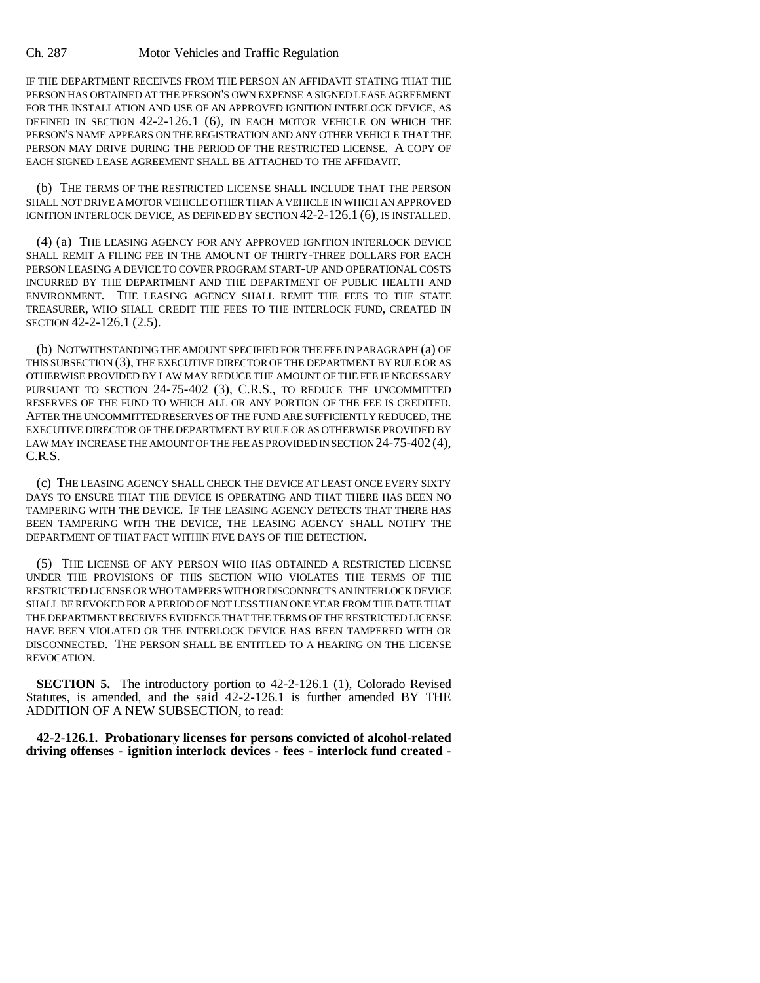## Ch. 287 Motor Vehicles and Traffic Regulation

IF THE DEPARTMENT RECEIVES FROM THE PERSON AN AFFIDAVIT STATING THAT THE PERSON HAS OBTAINED AT THE PERSON'S OWN EXPENSE A SIGNED LEASE AGREEMENT FOR THE INSTALLATION AND USE OF AN APPROVED IGNITION INTERLOCK DEVICE, AS DEFINED IN SECTION 42-2-126.1 (6), IN EACH MOTOR VEHICLE ON WHICH THE PERSON'S NAME APPEARS ON THE REGISTRATION AND ANY OTHER VEHICLE THAT THE PERSON MAY DRIVE DURING THE PERIOD OF THE RESTRICTED LICENSE. A COPY OF EACH SIGNED LEASE AGREEMENT SHALL BE ATTACHED TO THE AFFIDAVIT.

(b) THE TERMS OF THE RESTRICTED LICENSE SHALL INCLUDE THAT THE PERSON SHALL NOT DRIVE A MOTOR VEHICLE OTHER THAN A VEHICLE IN WHICH AN APPROVED IGNITION INTERLOCK DEVICE, AS DEFINED BY SECTION 42-2-126.1 (6), IS INSTALLED.

(4) (a) THE LEASING AGENCY FOR ANY APPROVED IGNITION INTERLOCK DEVICE SHALL REMIT A FILING FEE IN THE AMOUNT OF THIRTY-THREE DOLLARS FOR EACH PERSON LEASING A DEVICE TO COVER PROGRAM START-UP AND OPERATIONAL COSTS INCURRED BY THE DEPARTMENT AND THE DEPARTMENT OF PUBLIC HEALTH AND ENVIRONMENT. THE LEASING AGENCY SHALL REMIT THE FEES TO THE STATE TREASURER, WHO SHALL CREDIT THE FEES TO THE INTERLOCK FUND, CREATED IN SECTION 42-2-126.1 (2.5).

(b) NOTWITHSTANDING THE AMOUNT SPECIFIED FOR THE FEE IN PARAGRAPH (a) OF THIS SUBSECTION (3), THE EXECUTIVE DIRECTOR OF THE DEPARTMENT BY RULE OR AS OTHERWISE PROVIDED BY LAW MAY REDUCE THE AMOUNT OF THE FEE IF NECESSARY PURSUANT TO SECTION 24-75-402 (3), C.R.S., TO REDUCE THE UNCOMMITTED RESERVES OF THE FUND TO WHICH ALL OR ANY PORTION OF THE FEE IS CREDITED. AFTER THE UNCOMMITTED RESERVES OF THE FUND ARE SUFFICIENTLY REDUCED, THE EXECUTIVE DIRECTOR OF THE DEPARTMENT BY RULE OR AS OTHERWISE PROVIDED BY LAW MAY INCREASE THE AMOUNT OF THE FEE AS PROVIDED IN SECTION 24-75-402 (4), C.R.S.

(c) THE LEASING AGENCY SHALL CHECK THE DEVICE AT LEAST ONCE EVERY SIXTY DAYS TO ENSURE THAT THE DEVICE IS OPERATING AND THAT THERE HAS BEEN NO TAMPERING WITH THE DEVICE. IF THE LEASING AGENCY DETECTS THAT THERE HAS BEEN TAMPERING WITH THE DEVICE, THE LEASING AGENCY SHALL NOTIFY THE DEPARTMENT OF THAT FACT WITHIN FIVE DAYS OF THE DETECTION.

(5) THE LICENSE OF ANY PERSON WHO HAS OBTAINED A RESTRICTED LICENSE UNDER THE PROVISIONS OF THIS SECTION WHO VIOLATES THE TERMS OF THE RESTRICTED LICENSE OR WHO TAMPERS WITH OR DISCONNECTS AN INTERLOCK DEVICE SHALL BE REVOKED FOR A PERIOD OF NOT LESS THAN ONE YEAR FROM THE DATE THAT THE DEPARTMENT RECEIVES EVIDENCE THAT THE TERMS OF THE RESTRICTED LICENSE HAVE BEEN VIOLATED OR THE INTERLOCK DEVICE HAS BEEN TAMPERED WITH OR DISCONNECTED. THE PERSON SHALL BE ENTITLED TO A HEARING ON THE LICENSE REVOCATION.

**SECTION 5.** The introductory portion to 42-2-126.1 (1), Colorado Revised Statutes, is amended, and the said 42-2-126.1 is further amended BY THE ADDITION OF A NEW SUBSECTION, to read:

**42-2-126.1. Probationary licenses for persons convicted of alcohol-related driving offenses - ignition interlock devices - fees - interlock fund created -**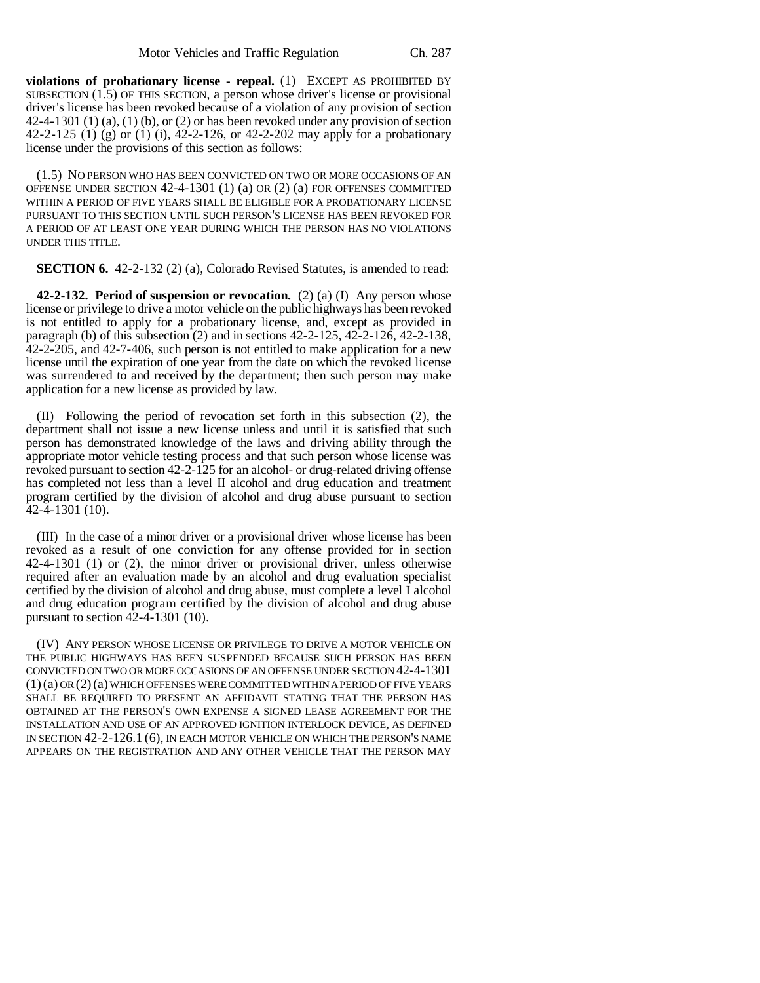**violations of probationary license - repeal.** (1) EXCEPT AS PROHIBITED BY SUBSECTION (1.5) OF THIS SECTION, a person whose driver's license or provisional driver's license has been revoked because of a violation of any provision of section 42-4-1301 (1) (a), (1) (b), or (2) or has been revoked under any provision of section 42-2-125 (1) (g) or (1) (i), 42-2-126, or 42-2-202 may apply for a probationary license under the provisions of this section as follows:

(1.5) NO PERSON WHO HAS BEEN CONVICTED ON TWO OR MORE OCCASIONS OF AN OFFENSE UNDER SECTION 42-4-1301 (1) (a) OR (2) (a) FOR OFFENSES COMMITTED WITHIN A PERIOD OF FIVE YEARS SHALL BE ELIGIBLE FOR A PROBATIONARY LICENSE PURSUANT TO THIS SECTION UNTIL SUCH PERSON'S LICENSE HAS BEEN REVOKED FOR A PERIOD OF AT LEAST ONE YEAR DURING WHICH THE PERSON HAS NO VIOLATIONS UNDER THIS TITLE.

**SECTION 6.** 42-2-132 (2) (a), Colorado Revised Statutes, is amended to read:

**42-2-132. Period of suspension or revocation.** (2) (a) (I) Any person whose license or privilege to drive a motor vehicle on the public highways has been revoked is not entitled to apply for a probationary license, and, except as provided in paragraph (b) of this subsection  $(2)$  and in sections 42-2-125, 42-2-126, 42-2-138, 42-2-205, and 42-7-406, such person is not entitled to make application for a new license until the expiration of one year from the date on which the revoked license was surrendered to and received by the department; then such person may make application for a new license as provided by law.

(II) Following the period of revocation set forth in this subsection (2), the department shall not issue a new license unless and until it is satisfied that such person has demonstrated knowledge of the laws and driving ability through the appropriate motor vehicle testing process and that such person whose license was revoked pursuant to section 42-2-125 for an alcohol- or drug-related driving offense has completed not less than a level II alcohol and drug education and treatment program certified by the division of alcohol and drug abuse pursuant to section 42-4-1301 (10).

(III) In the case of a minor driver or a provisional driver whose license has been revoked as a result of one conviction for any offense provided for in section 42-4-1301 (1) or (2), the minor driver or provisional driver, unless otherwise required after an evaluation made by an alcohol and drug evaluation specialist certified by the division of alcohol and drug abuse, must complete a level I alcohol and drug education program certified by the division of alcohol and drug abuse pursuant to section 42-4-1301 (10).

(IV) ANY PERSON WHOSE LICENSE OR PRIVILEGE TO DRIVE A MOTOR VEHICLE ON THE PUBLIC HIGHWAYS HAS BEEN SUSPENDED BECAUSE SUCH PERSON HAS BEEN CONVICTED ON TWO OR MORE OCCASIONS OF AN OFFENSE UNDER SECTION 42-4-1301  $(1)(a)$  OR  $(2)(a)$  WHICH OFFENSES WERE COMMITTED WITHIN A PERIOD OF FIVE YEARS SHALL BE REQUIRED TO PRESENT AN AFFIDAVIT STATING THAT THE PERSON HAS OBTAINED AT THE PERSON'S OWN EXPENSE A SIGNED LEASE AGREEMENT FOR THE INSTALLATION AND USE OF AN APPROVED IGNITION INTERLOCK DEVICE, AS DEFINED IN SECTION 42-2-126.1 (6), IN EACH MOTOR VEHICLE ON WHICH THE PERSON'S NAME APPEARS ON THE REGISTRATION AND ANY OTHER VEHICLE THAT THE PERSON MAY